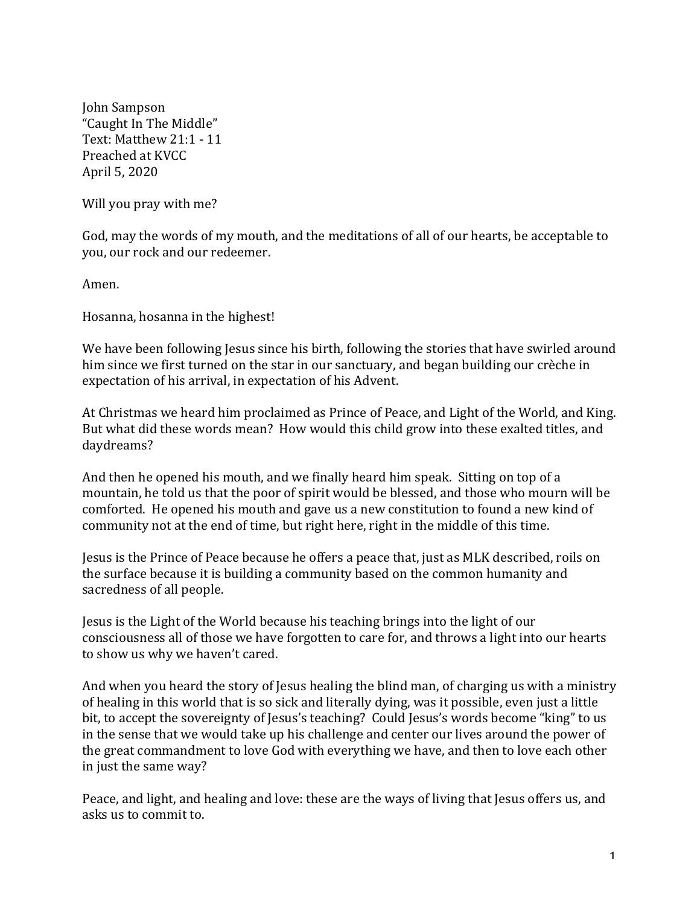John Sampson "Caught In The Middle" Text: Matthew 21:1 - 11 Preached at KVCC April 5, 2020

Will you pray with me?

God, may the words of my mouth, and the meditations of all of our hearts, be acceptable to you, our rock and our redeemer.

Amen.

Hosanna, hosanna in the highest!

We have been following Jesus since his birth, following the stories that have swirled around him since we first turned on the star in our sanctuary, and began building our crèche in expectation of his arrival, in expectation of his Advent.

At Christmas we heard him proclaimed as Prince of Peace, and Light of the World, and King. But what did these words mean? How would this child grow into these exalted titles, and daydreams?

And then he opened his mouth, and we finally heard him speak. Sitting on top of a mountain, he told us that the poor of spirit would be blessed, and those who mourn will be comforted. He opened his mouth and gave us a new constitution to found a new kind of community not at the end of time, but right here, right in the middle of this time.

Jesus is the Prince of Peace because he offers a peace that, just as MLK described, roils on the surface because it is building a community based on the common humanity and sacredness of all people.

Jesus is the Light of the World because his teaching brings into the light of our consciousness all of those we have forgotten to care for, and throws a light into our hearts to show us why we haven't cared.

And when you heard the story of Jesus healing the blind man, of charging us with a ministry of healing in this world that is so sick and literally dying, was it possible, even just a little bit, to accept the sovereignty of Jesus's teaching? Could Jesus's words become "king" to us in the sense that we would take up his challenge and center our lives around the power of the great commandment to love God with everything we have, and then to love each other in just the same way?

Peace, and light, and healing and love: these are the ways of living that Jesus offers us, and asks us to commit to.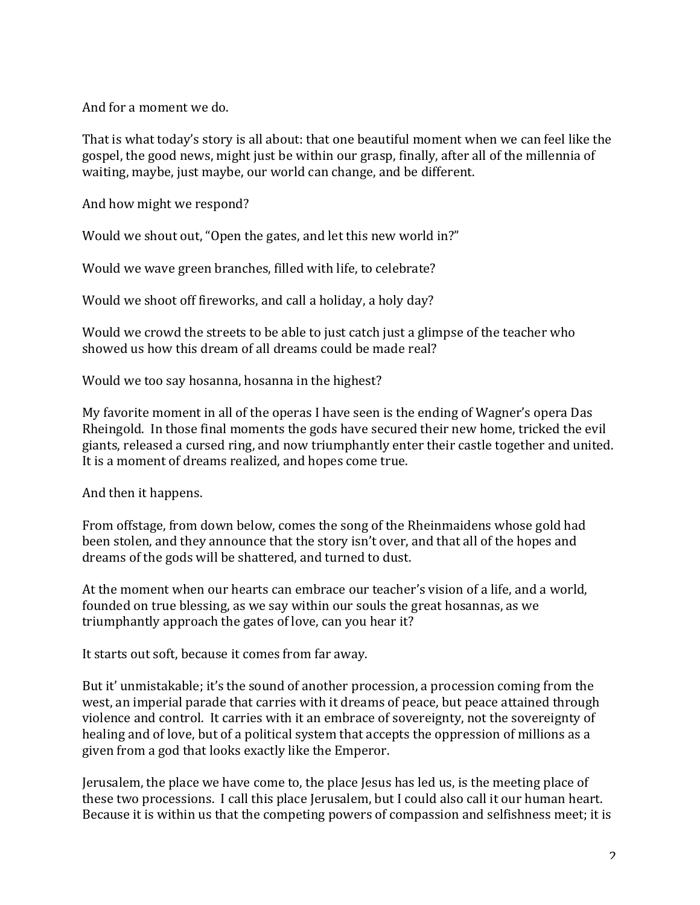And for a moment we do.

That is what today's story is all about: that one beautiful moment when we can feel like the gospel, the good news, might just be within our grasp, finally, after all of the millennia of waiting, maybe, just maybe, our world can change, and be different.

And how might we respond?

Would we shout out, "Open the gates, and let this new world in?"

Would we wave green branches, filled with life, to celebrate?

Would we shoot off fireworks, and call a holiday, a holy day?

Would we crowd the streets to be able to just catch just a glimpse of the teacher who showed us how this dream of all dreams could be made real?

Would we too say hosanna, hosanna in the highest?

My favorite moment in all of the operas I have seen is the ending of Wagner's opera Das Rheingold. In those final moments the gods have secured their new home, tricked the evil giants, released a cursed ring, and now triumphantly enter their castle together and united. It is a moment of dreams realized, and hopes come true.

And then it happens.

From offstage, from down below, comes the song of the Rheinmaidens whose gold had been stolen, and they announce that the story isn't over, and that all of the hopes and dreams of the gods will be shattered, and turned to dust.

At the moment when our hearts can embrace our teacher's vision of a life, and a world, founded on true blessing, as we say within our souls the great hosannas, as we triumphantly approach the gates of love, can you hear it?

It starts out soft, because it comes from far away.

But it' unmistakable; it's the sound of another procession, a procession coming from the west, an imperial parade that carries with it dreams of peace, but peace attained through violence and control. It carries with it an embrace of sovereignty, not the sovereignty of healing and of love, but of a political system that accepts the oppression of millions as a given from a god that looks exactly like the Emperor.

Jerusalem, the place we have come to, the place Jesus has led us, is the meeting place of these two processions. I call this place Jerusalem, but I could also call it our human heart. Because it is within us that the competing powers of compassion and selfishness meet; it is